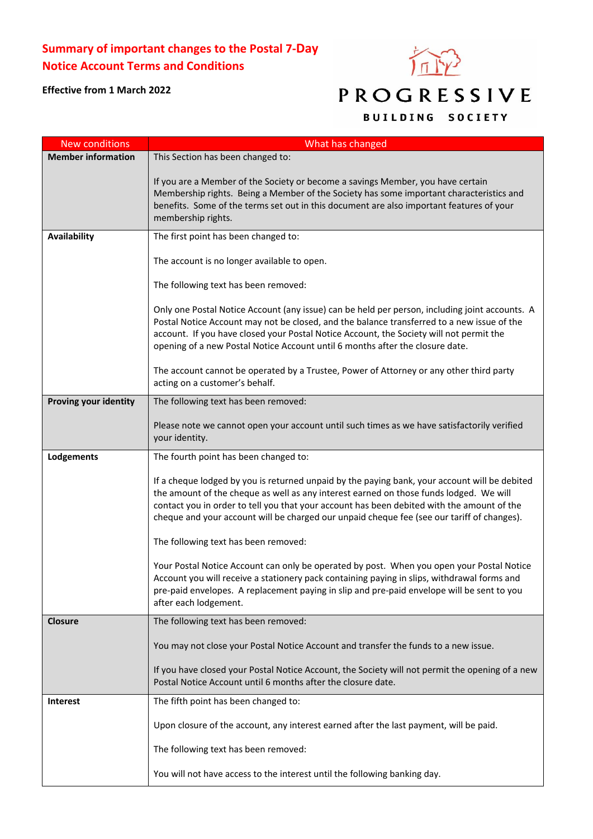## **Summary of important changes to the Postal 7-Day Notice Account Terms and Conditions**



## **Effective from 1 March 2022**

## PROGRESSIVE

## **BUILDING SOCIETY**

| <b>New conditions</b>        | What has changed                                                                                                                                                                                                                                                                                                                                                                    |
|------------------------------|-------------------------------------------------------------------------------------------------------------------------------------------------------------------------------------------------------------------------------------------------------------------------------------------------------------------------------------------------------------------------------------|
| <b>Member information</b>    | This Section has been changed to:                                                                                                                                                                                                                                                                                                                                                   |
|                              | If you are a Member of the Society or become a savings Member, you have certain<br>Membership rights. Being a Member of the Society has some important characteristics and<br>benefits. Some of the terms set out in this document are also important features of your<br>membership rights.                                                                                        |
| Availability                 | The first point has been changed to:                                                                                                                                                                                                                                                                                                                                                |
|                              | The account is no longer available to open.                                                                                                                                                                                                                                                                                                                                         |
|                              | The following text has been removed:                                                                                                                                                                                                                                                                                                                                                |
|                              | Only one Postal Notice Account (any issue) can be held per person, including joint accounts. A<br>Postal Notice Account may not be closed, and the balance transferred to a new issue of the<br>account. If you have closed your Postal Notice Account, the Society will not permit the<br>opening of a new Postal Notice Account until 6 months after the closure date.            |
|                              | The account cannot be operated by a Trustee, Power of Attorney or any other third party<br>acting on a customer's behalf.                                                                                                                                                                                                                                                           |
| <b>Proving your identity</b> | The following text has been removed:                                                                                                                                                                                                                                                                                                                                                |
|                              | Please note we cannot open your account until such times as we have satisfactorily verified<br>your identity.                                                                                                                                                                                                                                                                       |
| Lodgements                   | The fourth point has been changed to:                                                                                                                                                                                                                                                                                                                                               |
|                              | If a cheque lodged by you is returned unpaid by the paying bank, your account will be debited<br>the amount of the cheque as well as any interest earned on those funds lodged. We will<br>contact you in order to tell you that your account has been debited with the amount of the<br>cheque and your account will be charged our unpaid cheque fee (see our tariff of changes). |
|                              | The following text has been removed:                                                                                                                                                                                                                                                                                                                                                |
|                              | Your Postal Notice Account can only be operated by post. When you open your Postal Notice<br>Account you will receive a stationery pack containing paying in slips, withdrawal forms and<br>pre-paid envelopes. A replacement paying in slip and pre-paid envelope will be sent to you<br>after each lodgement.                                                                     |
| <b>Closure</b>               | The following text has been removed:                                                                                                                                                                                                                                                                                                                                                |
|                              | You may not close your Postal Notice Account and transfer the funds to a new issue.                                                                                                                                                                                                                                                                                                 |
|                              | If you have closed your Postal Notice Account, the Society will not permit the opening of a new<br>Postal Notice Account until 6 months after the closure date.                                                                                                                                                                                                                     |
| <b>Interest</b>              | The fifth point has been changed to:                                                                                                                                                                                                                                                                                                                                                |
|                              | Upon closure of the account, any interest earned after the last payment, will be paid.                                                                                                                                                                                                                                                                                              |
|                              | The following text has been removed:                                                                                                                                                                                                                                                                                                                                                |
|                              | You will not have access to the interest until the following banking day.                                                                                                                                                                                                                                                                                                           |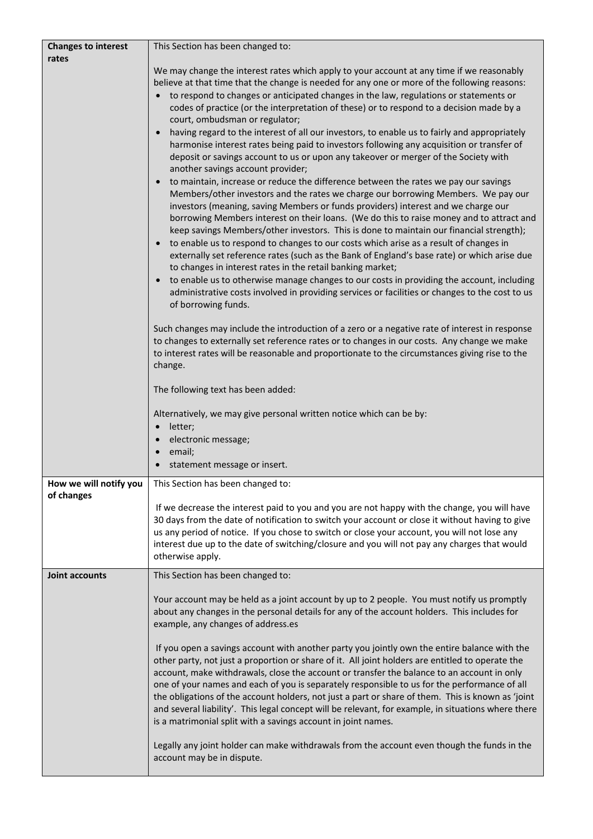| <b>Changes to interest</b>           | This Section has been changed to:                                                                                                                                                              |
|--------------------------------------|------------------------------------------------------------------------------------------------------------------------------------------------------------------------------------------------|
| rates                                |                                                                                                                                                                                                |
|                                      | We may change the interest rates which apply to your account at any time if we reasonably<br>believe at that time that the change is needed for any one or more of the following reasons:      |
|                                      | to respond to changes or anticipated changes in the law, regulations or statements or                                                                                                          |
|                                      | codes of practice (or the interpretation of these) or to respond to a decision made by a                                                                                                       |
|                                      | court, ombudsman or regulator;                                                                                                                                                                 |
|                                      | having regard to the interest of all our investors, to enable us to fairly and appropriately                                                                                                   |
|                                      | harmonise interest rates being paid to investors following any acquisition or transfer of                                                                                                      |
|                                      | deposit or savings account to us or upon any takeover or merger of the Society with                                                                                                            |
|                                      | another savings account provider;<br>to maintain, increase or reduce the difference between the rates we pay our savings                                                                       |
|                                      | Members/other investors and the rates we charge our borrowing Members. We pay our                                                                                                              |
|                                      | investors (meaning, saving Members or funds providers) interest and we charge our                                                                                                              |
|                                      | borrowing Members interest on their loans. (We do this to raise money and to attract and                                                                                                       |
|                                      | keep savings Members/other investors. This is done to maintain our financial strength);                                                                                                        |
|                                      | to enable us to respond to changes to our costs which arise as a result of changes in                                                                                                          |
|                                      | externally set reference rates (such as the Bank of England's base rate) or which arise due<br>to changes in interest rates in the retail banking market;                                      |
|                                      | to enable us to otherwise manage changes to our costs in providing the account, including<br>$\bullet$                                                                                         |
|                                      | administrative costs involved in providing services or facilities or changes to the cost to us                                                                                                 |
|                                      | of borrowing funds.                                                                                                                                                                            |
|                                      |                                                                                                                                                                                                |
|                                      | Such changes may include the introduction of a zero or a negative rate of interest in response<br>to changes to externally set reference rates or to changes in our costs. Any change we make  |
|                                      | to interest rates will be reasonable and proportionate to the circumstances giving rise to the                                                                                                 |
|                                      | change.                                                                                                                                                                                        |
|                                      |                                                                                                                                                                                                |
|                                      | The following text has been added:                                                                                                                                                             |
|                                      | Alternatively, we may give personal written notice which can be by:                                                                                                                            |
|                                      | letter;<br>$\bullet$                                                                                                                                                                           |
|                                      | electronic message;                                                                                                                                                                            |
|                                      | email;                                                                                                                                                                                         |
|                                      | statement message or insert.                                                                                                                                                                   |
| How we will notify you<br>of changes | This Section has been changed to:                                                                                                                                                              |
|                                      | If we decrease the interest paid to you and you are not happy with the change, you will have                                                                                                   |
|                                      | 30 days from the date of notification to switch your account or close it without having to give                                                                                                |
|                                      | us any period of notice. If you chose to switch or close your account, you will not lose any                                                                                                   |
|                                      | interest due up to the date of switching/closure and you will not pay any charges that would                                                                                                   |
|                                      | otherwise apply.                                                                                                                                                                               |
| Joint accounts                       | This Section has been changed to:                                                                                                                                                              |
|                                      | Your account may be held as a joint account by up to 2 people. You must notify us promptly                                                                                                     |
|                                      | about any changes in the personal details for any of the account holders. This includes for                                                                                                    |
|                                      | example, any changes of address.es                                                                                                                                                             |
|                                      |                                                                                                                                                                                                |
|                                      | If you open a savings account with another party you jointly own the entire balance with the                                                                                                   |
|                                      | other party, not just a proportion or share of it. All joint holders are entitled to operate the<br>account, make withdrawals, close the account or transfer the balance to an account in only |
|                                      | one of your names and each of you is separately responsible to us for the performance of all                                                                                                   |
|                                      | the obligations of the account holders, not just a part or share of them. This is known as 'joint                                                                                              |
|                                      | and several liability'. This legal concept will be relevant, for example, in situations where there                                                                                            |
|                                      | is a matrimonial split with a savings account in joint names.                                                                                                                                  |
|                                      | Legally any joint holder can make withdrawals from the account even though the funds in the                                                                                                    |
|                                      | account may be in dispute.                                                                                                                                                                     |
|                                      |                                                                                                                                                                                                |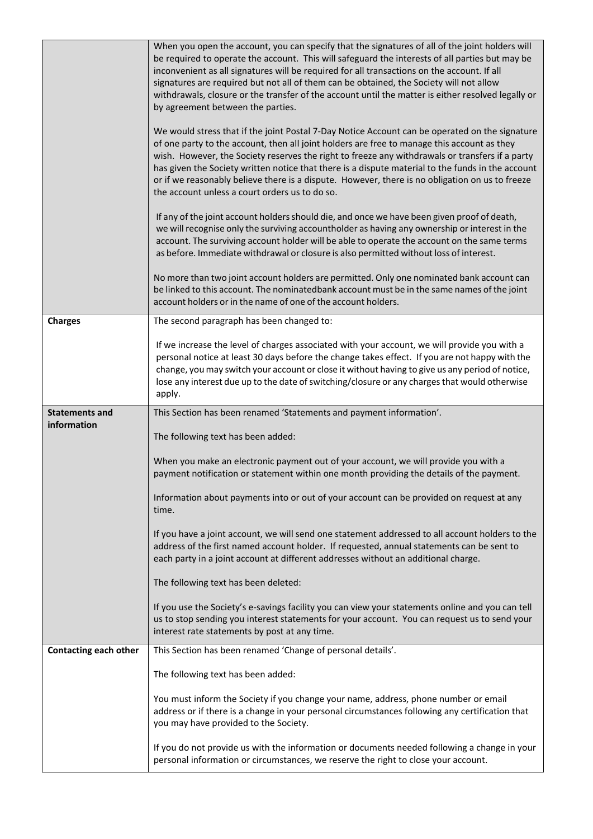|                              | When you open the account, you can specify that the signatures of all of the joint holders will<br>be required to operate the account. This will safeguard the interests of all parties but may be<br>inconvenient as all signatures will be required for all transactions on the account. If all<br>signatures are required but not all of them can be obtained, the Society will not allow<br>withdrawals, closure or the transfer of the account until the matter is either resolved legally or<br>by agreement between the parties.<br>We would stress that if the joint Postal 7-Day Notice Account can be operated on the signature<br>of one party to the account, then all joint holders are free to manage this account as they<br>wish. However, the Society reserves the right to freeze any withdrawals or transfers if a party<br>has given the Society written notice that there is a dispute material to the funds in the account<br>or if we reasonably believe there is a dispute. However, there is no obligation on us to freeze<br>the account unless a court orders us to do so.<br>If any of the joint account holders should die, and once we have been given proof of death,<br>we will recognise only the surviving accountholder as having any ownership or interest in the<br>account. The surviving account holder will be able to operate the account on the same terms |
|------------------------------|------------------------------------------------------------------------------------------------------------------------------------------------------------------------------------------------------------------------------------------------------------------------------------------------------------------------------------------------------------------------------------------------------------------------------------------------------------------------------------------------------------------------------------------------------------------------------------------------------------------------------------------------------------------------------------------------------------------------------------------------------------------------------------------------------------------------------------------------------------------------------------------------------------------------------------------------------------------------------------------------------------------------------------------------------------------------------------------------------------------------------------------------------------------------------------------------------------------------------------------------------------------------------------------------------------------------------------------------------------------------------------------------------|
|                              | as before. Immediate withdrawal or closure is also permitted without loss of interest.                                                                                                                                                                                                                                                                                                                                                                                                                                                                                                                                                                                                                                                                                                                                                                                                                                                                                                                                                                                                                                                                                                                                                                                                                                                                                                               |
|                              | No more than two joint account holders are permitted. Only one nominated bank account can<br>be linked to this account. The nominatedbank account must be in the same names of the joint<br>account holders or in the name of one of the account holders.                                                                                                                                                                                                                                                                                                                                                                                                                                                                                                                                                                                                                                                                                                                                                                                                                                                                                                                                                                                                                                                                                                                                            |
| <b>Charges</b>               | The second paragraph has been changed to:                                                                                                                                                                                                                                                                                                                                                                                                                                                                                                                                                                                                                                                                                                                                                                                                                                                                                                                                                                                                                                                                                                                                                                                                                                                                                                                                                            |
|                              | If we increase the level of charges associated with your account, we will provide you with a                                                                                                                                                                                                                                                                                                                                                                                                                                                                                                                                                                                                                                                                                                                                                                                                                                                                                                                                                                                                                                                                                                                                                                                                                                                                                                         |
|                              | personal notice at least 30 days before the change takes effect. If you are not happy with the<br>change, you may switch your account or close it without having to give us any period of notice,                                                                                                                                                                                                                                                                                                                                                                                                                                                                                                                                                                                                                                                                                                                                                                                                                                                                                                                                                                                                                                                                                                                                                                                                    |
|                              | lose any interest due up to the date of switching/closure or any charges that would otherwise<br>apply.                                                                                                                                                                                                                                                                                                                                                                                                                                                                                                                                                                                                                                                                                                                                                                                                                                                                                                                                                                                                                                                                                                                                                                                                                                                                                              |
| <b>Statements and</b>        | This Section has been renamed 'Statements and payment information'.                                                                                                                                                                                                                                                                                                                                                                                                                                                                                                                                                                                                                                                                                                                                                                                                                                                                                                                                                                                                                                                                                                                                                                                                                                                                                                                                  |
|                              |                                                                                                                                                                                                                                                                                                                                                                                                                                                                                                                                                                                                                                                                                                                                                                                                                                                                                                                                                                                                                                                                                                                                                                                                                                                                                                                                                                                                      |
| information                  | The following text has been added:                                                                                                                                                                                                                                                                                                                                                                                                                                                                                                                                                                                                                                                                                                                                                                                                                                                                                                                                                                                                                                                                                                                                                                                                                                                                                                                                                                   |
|                              | When you make an electronic payment out of your account, we will provide you with a<br>payment notification or statement within one month providing the details of the payment.                                                                                                                                                                                                                                                                                                                                                                                                                                                                                                                                                                                                                                                                                                                                                                                                                                                                                                                                                                                                                                                                                                                                                                                                                      |
|                              | Information about payments into or out of your account can be provided on request at any<br>time.                                                                                                                                                                                                                                                                                                                                                                                                                                                                                                                                                                                                                                                                                                                                                                                                                                                                                                                                                                                                                                                                                                                                                                                                                                                                                                    |
|                              | If you have a joint account, we will send one statement addressed to all account holders to the<br>address of the first named account holder. If requested, annual statements can be sent to<br>each party in a joint account at different addresses without an additional charge.                                                                                                                                                                                                                                                                                                                                                                                                                                                                                                                                                                                                                                                                                                                                                                                                                                                                                                                                                                                                                                                                                                                   |
|                              | The following text has been deleted:                                                                                                                                                                                                                                                                                                                                                                                                                                                                                                                                                                                                                                                                                                                                                                                                                                                                                                                                                                                                                                                                                                                                                                                                                                                                                                                                                                 |
|                              | If you use the Society's e-savings facility you can view your statements online and you can tell<br>us to stop sending you interest statements for your account. You can request us to send your<br>interest rate statements by post at any time.                                                                                                                                                                                                                                                                                                                                                                                                                                                                                                                                                                                                                                                                                                                                                                                                                                                                                                                                                                                                                                                                                                                                                    |
| <b>Contacting each other</b> | This Section has been renamed 'Change of personal details'.                                                                                                                                                                                                                                                                                                                                                                                                                                                                                                                                                                                                                                                                                                                                                                                                                                                                                                                                                                                                                                                                                                                                                                                                                                                                                                                                          |
|                              | The following text has been added:                                                                                                                                                                                                                                                                                                                                                                                                                                                                                                                                                                                                                                                                                                                                                                                                                                                                                                                                                                                                                                                                                                                                                                                                                                                                                                                                                                   |
|                              | You must inform the Society if you change your name, address, phone number or email<br>address or if there is a change in your personal circumstances following any certification that<br>you may have provided to the Society.                                                                                                                                                                                                                                                                                                                                                                                                                                                                                                                                                                                                                                                                                                                                                                                                                                                                                                                                                                                                                                                                                                                                                                      |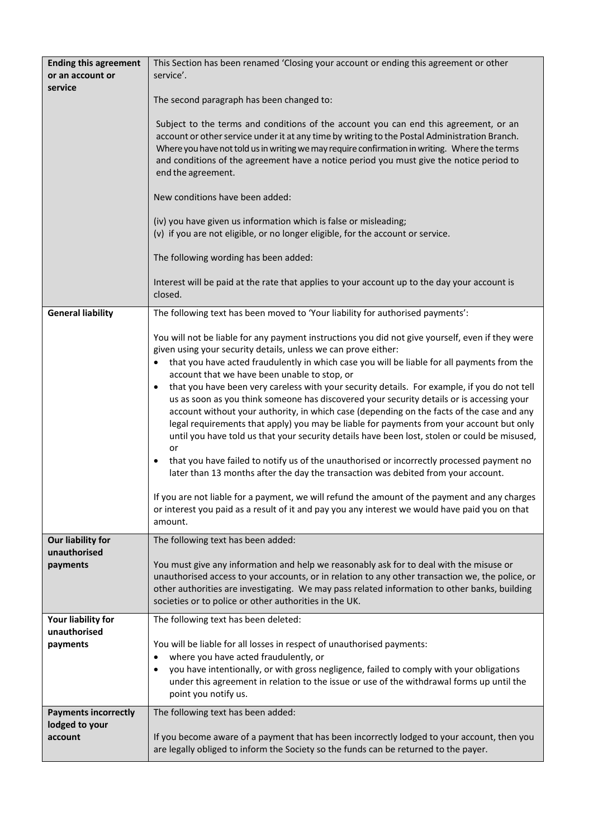| <b>Ending this agreement</b><br>or an account or | This Section has been renamed 'Closing your account or ending this agreement or other<br>service'.                                                                                                                                                                                                                                                                                                                                                                                        |
|--------------------------------------------------|-------------------------------------------------------------------------------------------------------------------------------------------------------------------------------------------------------------------------------------------------------------------------------------------------------------------------------------------------------------------------------------------------------------------------------------------------------------------------------------------|
| service                                          | The second paragraph has been changed to:                                                                                                                                                                                                                                                                                                                                                                                                                                                 |
|                                                  | Subject to the terms and conditions of the account you can end this agreement, or an<br>account or other service under it at any time by writing to the Postal Administration Branch.<br>Where you have not told us in writing we may require confirmation in writing. Where the terms<br>and conditions of the agreement have a notice period you must give the notice period to<br>end the agreement.                                                                                   |
|                                                  | New conditions have been added:                                                                                                                                                                                                                                                                                                                                                                                                                                                           |
|                                                  | (iv) you have given us information which is false or misleading;<br>(v) if you are not eligible, or no longer eligible, for the account or service.                                                                                                                                                                                                                                                                                                                                       |
|                                                  | The following wording has been added:                                                                                                                                                                                                                                                                                                                                                                                                                                                     |
|                                                  | Interest will be paid at the rate that applies to your account up to the day your account is<br>closed.                                                                                                                                                                                                                                                                                                                                                                                   |
| <b>General liability</b>                         | The following text has been moved to 'Your liability for authorised payments':                                                                                                                                                                                                                                                                                                                                                                                                            |
|                                                  | You will not be liable for any payment instructions you did not give yourself, even if they were<br>given using your security details, unless we can prove either:                                                                                                                                                                                                                                                                                                                        |
|                                                  | that you have acted fraudulently in which case you will be liable for all payments from the<br>account that we have been unable to stop, or                                                                                                                                                                                                                                                                                                                                               |
|                                                  | that you have been very careless with your security details. For example, if you do not tell<br>us as soon as you think someone has discovered your security details or is accessing your<br>account without your authority, in which case (depending on the facts of the case and any<br>legal requirements that apply) you may be liable for payments from your account but only<br>until you have told us that your security details have been lost, stolen or could be misused,<br>or |
|                                                  | that you have failed to notify us of the unauthorised or incorrectly processed payment no<br>later than 13 months after the day the transaction was debited from your account.                                                                                                                                                                                                                                                                                                            |
|                                                  | If you are not liable for a payment, we will refund the amount of the payment and any charges<br>or interest you paid as a result of it and pay you any interest we would have paid you on that<br>amount.                                                                                                                                                                                                                                                                                |
| Our liability for<br>unauthorised                | The following text has been added:                                                                                                                                                                                                                                                                                                                                                                                                                                                        |
| payments                                         | You must give any information and help we reasonably ask for to deal with the misuse or<br>unauthorised access to your accounts, or in relation to any other transaction we, the police, or<br>other authorities are investigating. We may pass related information to other banks, building<br>societies or to police or other authorities in the UK.                                                                                                                                    |
| Your liability for<br>unauthorised               | The following text has been deleted:                                                                                                                                                                                                                                                                                                                                                                                                                                                      |
| payments                                         | You will be liable for all losses in respect of unauthorised payments:                                                                                                                                                                                                                                                                                                                                                                                                                    |
|                                                  | where you have acted fraudulently, or<br>you have intentionally, or with gross negligence, failed to comply with your obligations<br>$\bullet$<br>under this agreement in relation to the issue or use of the withdrawal forms up until the<br>point you notify us.                                                                                                                                                                                                                       |
| <b>Payments incorrectly</b>                      | The following text has been added:                                                                                                                                                                                                                                                                                                                                                                                                                                                        |
| lodged to your<br>account                        | If you become aware of a payment that has been incorrectly lodged to your account, then you<br>are legally obliged to inform the Society so the funds can be returned to the payer.                                                                                                                                                                                                                                                                                                       |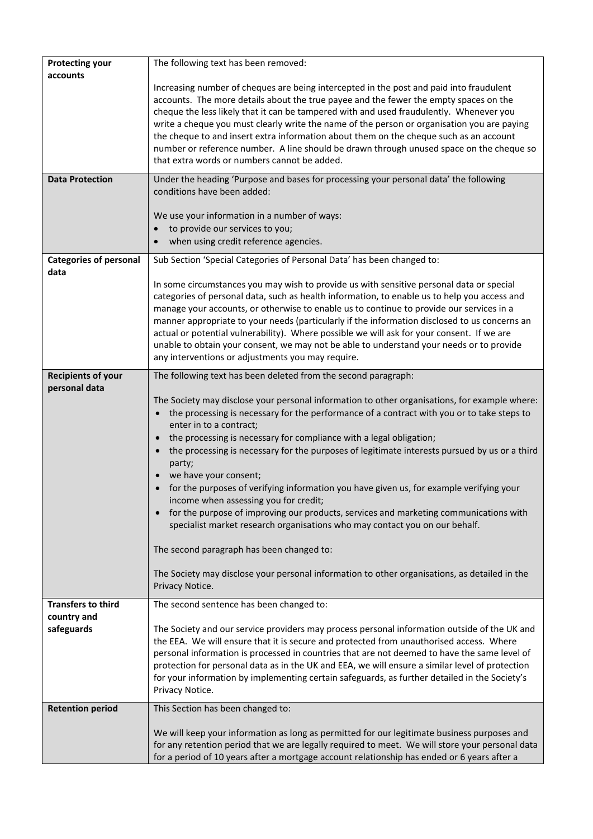| <b>Protecting your</b>                | The following text has been removed:                                                                                                                                                     |
|---------------------------------------|------------------------------------------------------------------------------------------------------------------------------------------------------------------------------------------|
| accounts                              |                                                                                                                                                                                          |
|                                       | Increasing number of cheques are being intercepted in the post and paid into fraudulent<br>accounts. The more details about the true payee and the fewer the empty spaces on the         |
|                                       | cheque the less likely that it can be tampered with and used fraudulently. Whenever you                                                                                                  |
|                                       | write a cheque you must clearly write the name of the person or organisation you are paying                                                                                              |
|                                       | the cheque to and insert extra information about them on the cheque such as an account                                                                                                   |
|                                       | number or reference number. A line should be drawn through unused space on the cheque so                                                                                                 |
|                                       | that extra words or numbers cannot be added.                                                                                                                                             |
| <b>Data Protection</b>                | Under the heading 'Purpose and bases for processing your personal data' the following<br>conditions have been added:                                                                     |
|                                       |                                                                                                                                                                                          |
|                                       | We use your information in a number of ways:<br>to provide our services to you;                                                                                                          |
|                                       | when using credit reference agencies.                                                                                                                                                    |
|                                       |                                                                                                                                                                                          |
| <b>Categories of personal</b><br>data | Sub Section 'Special Categories of Personal Data' has been changed to:                                                                                                                   |
|                                       | In some circumstances you may wish to provide us with sensitive personal data or special                                                                                                 |
|                                       | categories of personal data, such as health information, to enable us to help you access and<br>manage your accounts, or otherwise to enable us to continue to provide our services in a |
|                                       | manner appropriate to your needs (particularly if the information disclosed to us concerns an                                                                                            |
|                                       | actual or potential vulnerability). Where possible we will ask for your consent. If we are                                                                                               |
|                                       | unable to obtain your consent, we may not be able to understand your needs or to provide                                                                                                 |
|                                       | any interventions or adjustments you may require.                                                                                                                                        |
| <b>Recipients of your</b>             | The following text has been deleted from the second paragraph:                                                                                                                           |
| personal data                         |                                                                                                                                                                                          |
|                                       | The Society may disclose your personal information to other organisations, for example where:                                                                                            |
|                                       | the processing is necessary for the performance of a contract with you or to take steps to<br>enter in to a contract;                                                                    |
|                                       | the processing is necessary for compliance with a legal obligation;                                                                                                                      |
|                                       | the processing is necessary for the purposes of legitimate interests pursued by us or a third                                                                                            |
|                                       | party;                                                                                                                                                                                   |
|                                       | we have your consent;                                                                                                                                                                    |
|                                       | for the purposes of verifying information you have given us, for example verifying your<br>income when assessing you for credit;                                                         |
|                                       | for the purpose of improving our products, services and marketing communications with                                                                                                    |
|                                       | specialist market research organisations who may contact you on our behalf.                                                                                                              |
|                                       | The second paragraph has been changed to:                                                                                                                                                |
|                                       | The Society may disclose your personal information to other organisations, as detailed in the                                                                                            |
|                                       | Privacy Notice.                                                                                                                                                                          |
| <b>Transfers to third</b>             | The second sentence has been changed to:                                                                                                                                                 |
| country and<br>safeguards             | The Society and our service providers may process personal information outside of the UK and                                                                                             |
|                                       | the EEA. We will ensure that it is secure and protected from unauthorised access. Where                                                                                                  |
|                                       | personal information is processed in countries that are not deemed to have the same level of                                                                                             |
|                                       | protection for personal data as in the UK and EEA, we will ensure a similar level of protection                                                                                          |
|                                       | for your information by implementing certain safeguards, as further detailed in the Society's                                                                                            |
|                                       | Privacy Notice.                                                                                                                                                                          |
| <b>Retention period</b>               | This Section has been changed to:                                                                                                                                                        |
|                                       | We will keep your information as long as permitted for our legitimate business purposes and                                                                                              |
|                                       | for any retention period that we are legally required to meet. We will store your personal data                                                                                          |
|                                       | for a period of 10 years after a mortgage account relationship has ended or 6 years after a                                                                                              |